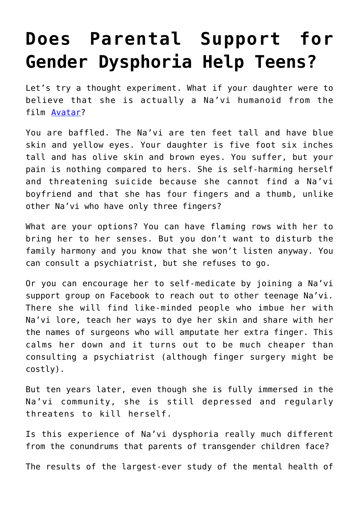## **[Does Parental Support for](https://intellectualtakeout.org/2018/10/does-parental-support-for-gender-dysphoria-help-teens/) [Gender Dysphoria Help Teens?](https://intellectualtakeout.org/2018/10/does-parental-support-for-gender-dysphoria-help-teens/)**

Let's try a thought experiment. What if your daughter were to believe that she is actually a Na'vi humanoid from the film [Avatar?](https://youtu.be/5PSNL1qE6VY)

You are baffled. The Na'vi are ten feet tall and have blue skin and yellow eyes. Your daughter is five foot six inches tall and has olive skin and brown eyes. You suffer, but your pain is nothing compared to hers. She is self-harming herself and threatening suicide because she cannot find a Na'vi boyfriend and that she has four fingers and a thumb, unlike other Na'vi who have only three fingers?

What are your options? You can have flaming rows with her to bring her to her senses. But you don't want to disturb the family harmony and you know that she won't listen anyway. You can consult a psychiatrist, but she refuses to go.

Or you can encourage her to self-medicate by joining a Na'vi support group on Facebook to reach out to other teenage Na'vi. There she will find like-minded people who imbue her with Na'vi lore, teach her ways to dye her skin and share with her the names of surgeons who will amputate her extra finger. This calms her down and it turns out to be much cheaper than consulting a psychiatrist (although finger surgery might be costly).

But ten years later, even though she is fully immersed in the Na'vi community, she is still depressed and regularly threatens to kill herself.

Is this experience of Na'vi dysphoria really much different from the conundrums that parents of transgender children face?

The results of the largest-ever study of the mental health of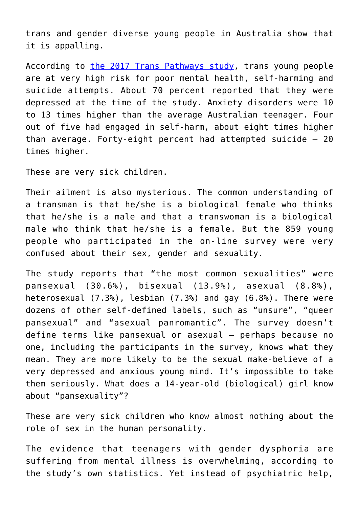trans and gender diverse young people in Australia show that it is appalling.

According to [the 2017 Trans Pathways study](https://www.telethonkids.org.au/our-research/brain-and-behaviour/mental-health-and-youth/youth-mental-health/trans-pathways/), trans young people are at very high risk for poor mental health, self-harming and suicide attempts. About 70 percent reported that they were depressed at the time of the study. Anxiety disorders were 10 to 13 times higher than the average Australian teenager. Four out of five had engaged in self-harm, about eight times higher than average. Forty-eight percent had attempted suicide – 20 times higher.

These are very sick children.

Their ailment is also mysterious. The common understanding of a transman is that he/she is a biological female who thinks that he/she is a male and that a transwoman is a biological male who think that he/she is a female. But the 859 young people who participated in the on-line survey were very confused about their sex, gender and sexuality.

The study reports that "the most common sexualities" were pansexual (30.6%), bisexual (13.9%), asexual (8.8%), heterosexual (7.3%), lesbian (7.3%) and gay (6.8%). There were dozens of other self-defined labels, such as "unsure", "queer pansexual" and "asexual panromantic". The survey doesn't define terms like pansexual or asexual – perhaps because no one, including the participants in the survey, knows what they mean. They are more likely to be the sexual make-believe of a very depressed and anxious young mind. It's impossible to take them seriously. What does a 14-year-old (biological) girl know about "pansexuality"?

These are very sick children who know almost nothing about the role of sex in the human personality.

The evidence that teenagers with gender dysphoria are suffering from mental illness is overwhelming, according to the study's own statistics. Yet instead of psychiatric help,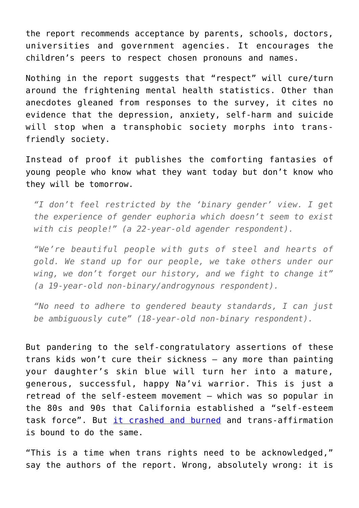the report recommends acceptance by parents, schools, doctors, universities and government agencies. It encourages the children's peers to respect chosen pronouns and names.

Nothing in the report suggests that "respect" will cure/turn around the frightening mental health statistics. Other than anecdotes gleaned from responses to the survey, it cites no evidence that the depression, anxiety, self-harm and suicide will stop when a transphobic society morphs into transfriendly society.

Instead of proof it publishes the comforting fantasies of young people who know what they want today but don't know who they will be tomorrow.

*"I don't feel restricted by the 'binary gender' view. I get the experience of gender euphoria which doesn't seem to exist with cis people!" (a 22-year-old agender respondent).*

*"We're beautiful people with guts of steel and hearts of gold. We stand up for our people, we take others under our wing, we don't forget our history, and we fight to change it" (a 19-year-old non-binary/androgynous respondent).*

*"No need to adhere to gendered beauty standards, I can just be ambiguously cute" (18-year-old non-binary respondent).*

But pandering to the self-congratulatory assertions of these trans kids won't cure their sickness – any more than painting your daughter's skin blue will turn her into a mature, generous, successful, happy Na'vi warrior. This is just a retread of the self-esteem movement – which was so popular in the 80s and 90s that California established a "self-esteem task force". But [it crashed and burned](https://www.theguardian.com/lifeandstyle/2017/jun/03/quasi-religious-great-self-esteem-con) and trans-affirmation is bound to do the same.

"This is a time when trans rights need to be acknowledged," say the authors of the report. Wrong, absolutely wrong: it is